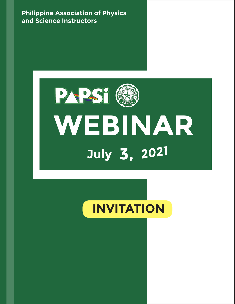**Philippine Association of Physics and Science Instructors**



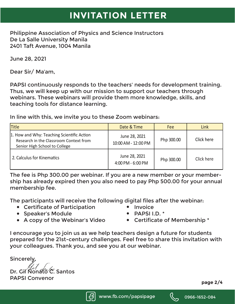## **INVITATION LETTER**

Philippine Association of Physics and Science Instructors De La Salle University Manila 2401 Taft Avenue, 1004 Manila

June 28, 2021

Dear Sir/ Ma'am,

PAPSI continuously responds to the teachers' needs for development training. Thus, we will keep up with our mission to support our teachers through webinars. These webinars will provide them more knowledge, skills, and teaching tools for distance learning.

In line with this, we invite you to these Zoom webinars:

| Title                                                                                                                 | Date & Time                        | <b>Fee</b> | Link       |
|-----------------------------------------------------------------------------------------------------------------------|------------------------------------|------------|------------|
| 1. How and Why: Teaching Scientific Action<br>Research in the Classroom Context from<br>Senior High School to College | : $pQ021$<br>10:00 AM - 12:00 PM   | Php 300.00 | Click here |
| 2. Calculus for Kinematics                                                                                            | , 2021<br>uly<br>4:00 PM - 6:00 PM | Php 300.00 | Click here |

The fee is Php 300.00 per webinar. If you are a new member or your membership has already expired then you also need to pay Php 500.00 for your annual membership fee.

The participants will receive the following digital files after the webinar:

- Certificate of Participation Invoice
- Speaker's Module **PAPSI I.D. \*** 
	-
- 
- 
- A copy of the Webinar's Video Certificate of Membership \*

I encourage you to join us as we help teachers design a future for students prepared for the 21st-century challenges. Feel free to share this invitation with your colleagues. Thank you, and see you at our webinar.

Sincerely,

 $\hat{\mathcal{C}}$ . Santos

PAPSI Convenor





**page 2/4**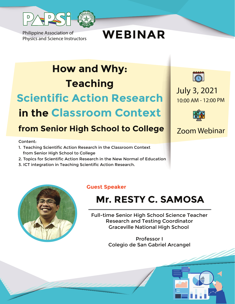

Philippine Association of

Philippine Association of<br>Physics and Science Instructors **WEBINAR** 

## **How and Why: Teaching Scientific Action Research**

## **in the Classroom Context**

### **from Senior High School to College**

Content:

- 1. Teaching Scientific Action Research in the Classroom Context from Senior High School to College
- 2. Topics for Scientific Action Research in the New Normal of Education
- 3. ICT integration in Teaching Scientific Action Research.



10:00 AM - 12:00 PM July 3, 2021



Zoom Webinar



### **Guest Speaker**

## **Mr. RESTY C. SAMOSA**

Full-time Senior High School Science Teacher Research and Testing Coordinator Graceville National High School

> Professor I Colegio de San Gabriel Arcangel